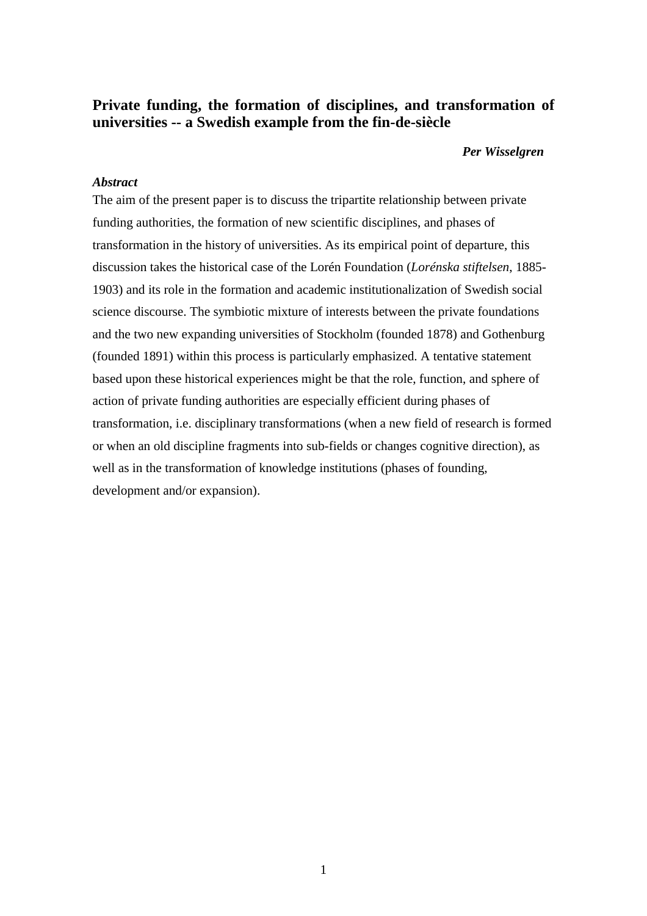# **Private funding, the formation of disciplines, and transformation of universities -- a Swedish example from the fin-de-siècle**

#### *Per Wisselgren*

# *Abstract*

The aim of the present paper is to discuss the tripartite relationship between private funding authorities, the formation of new scientific disciplines, and phases of transformation in the history of universities. As its empirical point of departure, this discussion takes the historical case of the Lorén Foundation (*Lorénska stiftelsen*, 1885- 1903) and its role in the formation and academic institutionalization of Swedish social science discourse. The symbiotic mixture of interests between the private foundations and the two new expanding universities of Stockholm (founded 1878) and Gothenburg (founded 1891) within this process is particularly emphasized. A tentative statement based upon these historical experiences might be that the role, function, and sphere of action of private funding authorities are especially efficient during phases of transformation, i.e. disciplinary transformations (when a new field of research is formed or when an old discipline fragments into sub-fields or changes cognitive direction), as well as in the transformation of knowledge institutions (phases of founding, development and/or expansion).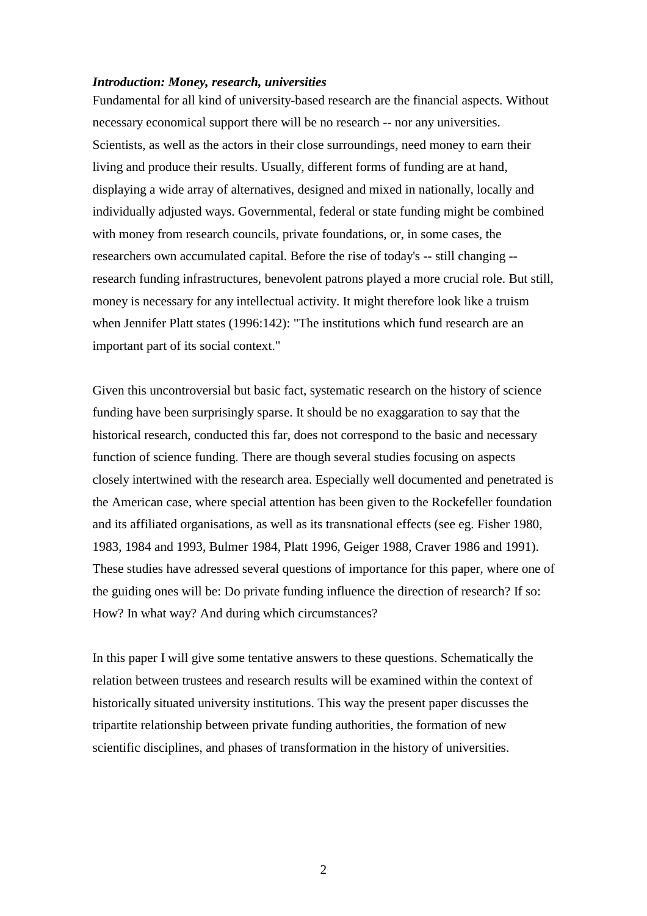#### *Introduction: Money, research, universities*

Fundamental for all kind of university-based research are the financial aspects. Without necessary economical support there will be no research -- nor any universities. Scientists, as well as the actors in their close surroundings, need money to earn their living and produce their results. Usually, different forms of funding are at hand, displaying a wide array of alternatives, designed and mixed in nationally, locally and individually adjusted ways. Governmental, federal or state funding might be combined with money from research councils, private foundations, or, in some cases, the researchers own accumulated capital. Before the rise of today's -- still changing - research funding infrastructures, benevolent patrons played a more crucial role. But still, money is necessary for any intellectual activity. It might therefore look like a truism when Jennifer Platt states (1996:142): "The institutions which fund research are an important part of its social context."

Given this uncontroversial but basic fact, systematic research on the history of science funding have been surprisingly sparse. It should be no exaggaration to say that the historical research, conducted this far, does not correspond to the basic and necessary function of science funding. There are though several studies focusing on aspects closely intertwined with the research area. Especially well documented and penetrated is the American case, where special attention has been given to the Rockefeller foundation and its affiliated organisations, as well as its transnational effects (see eg. Fisher 1980, 1983, 1984 and 1993, Bulmer 1984, Platt 1996, Geiger 1988, Craver 1986 and 1991). These studies have adressed several questions of importance for this paper, where one of the guiding ones will be: Do private funding influence the direction of research? If so: How? In what way? And during which circumstances?

In this paper I will give some tentative answers to these questions. Schematically the relation between trustees and research results will be examined within the context of historically situated university institutions. This way the present paper discusses the tripartite relationship between private funding authorities, the formation of new scientific disciplines, and phases of transformation in the history of universities.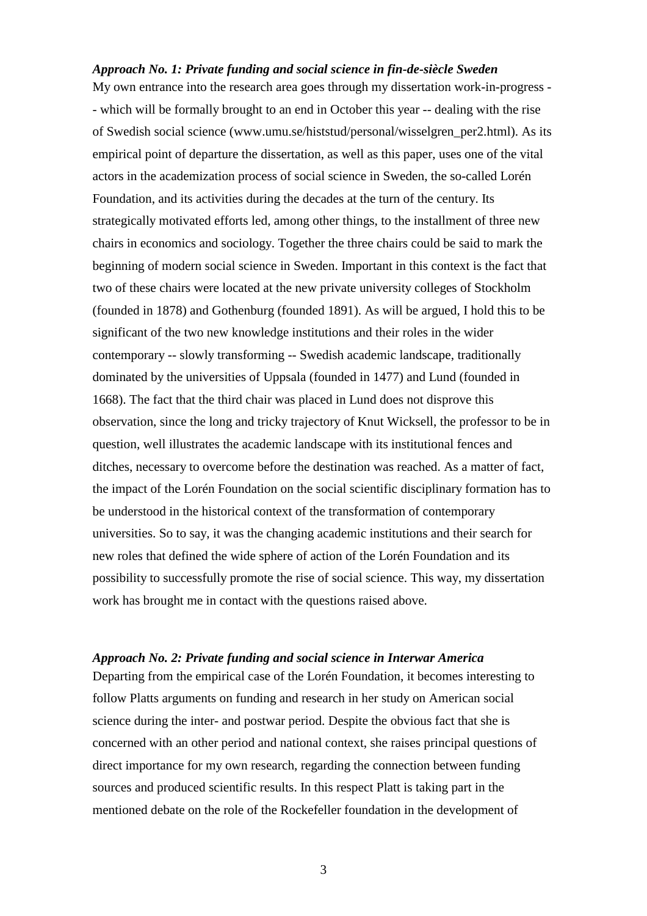# *Approach No. 1: Private funding and social science in fin-de-siècle Sweden*

My own entrance into the research area goes through my dissertation work-in-progress - - which will be formally brought to an end in October this year -- dealing with the rise of Swedish social science (www.umu.se/histstud/personal/wisselgren\_per2.html). As its empirical point of departure the dissertation, as well as this paper, uses one of the vital actors in the academization process of social science in Sweden, the so-called Lorén Foundation, and its activities during the decades at the turn of the century. Its strategically motivated efforts led, among other things, to the installment of three new chairs in economics and sociology. Together the three chairs could be said to mark the beginning of modern social science in Sweden. Important in this context is the fact that two of these chairs were located at the new private university colleges of Stockholm (founded in 1878) and Gothenburg (founded 1891). As will be argued, I hold this to be significant of the two new knowledge institutions and their roles in the wider contemporary -- slowly transforming -- Swedish academic landscape, traditionally dominated by the universities of Uppsala (founded in 1477) and Lund (founded in 1668). The fact that the third chair was placed in Lund does not disprove this observation, since the long and tricky trajectory of Knut Wicksell, the professor to be in question, well illustrates the academic landscape with its institutional fences and ditches, necessary to overcome before the destination was reached. As a matter of fact, the impact of the Lorén Foundation on the social scientific disciplinary formation has to be understood in the historical context of the transformation of contemporary universities. So to say, it was the changing academic institutions and their search for new roles that defined the wide sphere of action of the Lorén Foundation and its possibility to successfully promote the rise of social science. This way, my dissertation work has brought me in contact with the questions raised above.

#### *Approach No. 2: Private funding and social science in Interwar America*

Departing from the empirical case of the Lorén Foundation, it becomes interesting to follow Platts arguments on funding and research in her study on American social science during the inter- and postwar period. Despite the obvious fact that she is concerned with an other period and national context, she raises principal questions of direct importance for my own research, regarding the connection between funding sources and produced scientific results. In this respect Platt is taking part in the mentioned debate on the role of the Rockefeller foundation in the development of

3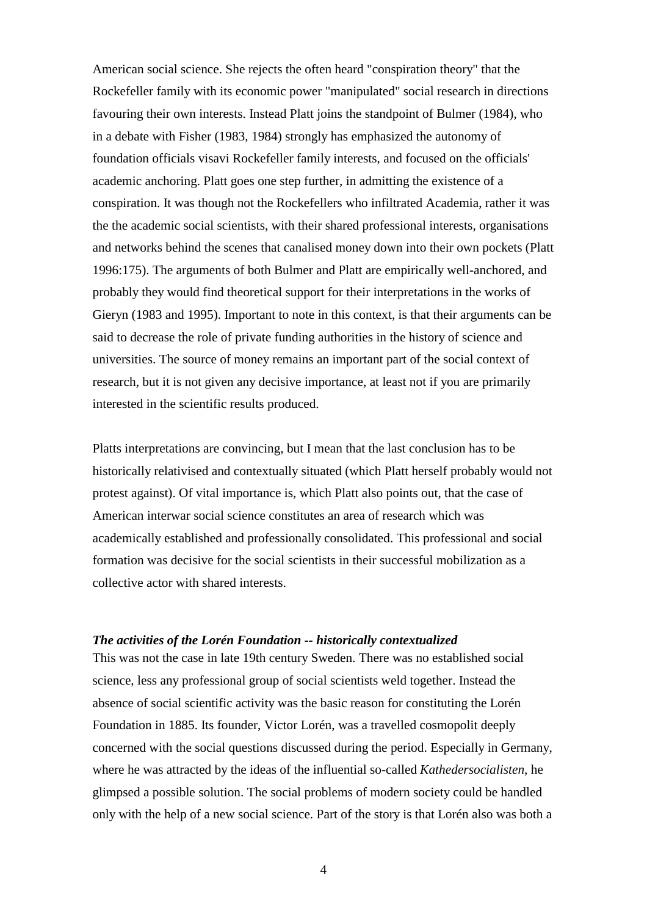American social science. She rejects the often heard "conspiration theory" that the Rockefeller family with its economic power "manipulated" social research in directions favouring their own interests. Instead Platt joins the standpoint of Bulmer (1984), who in a debate with Fisher (1983, 1984) strongly has emphasized the autonomy of foundation officials visavi Rockefeller family interests, and focused on the officials' academic anchoring. Platt goes one step further, in admitting the existence of a conspiration. It was though not the Rockefellers who infiltrated Academia, rather it was the the academic social scientists, with their shared professional interests, organisations and networks behind the scenes that canalised money down into their own pockets (Platt 1996:175). The arguments of both Bulmer and Platt are empirically well-anchored, and probably they would find theoretical support for their interpretations in the works of Gieryn (1983 and 1995). Important to note in this context, is that their arguments can be said to decrease the role of private funding authorities in the history of science and universities. The source of money remains an important part of the social context of research, but it is not given any decisive importance, at least not if you are primarily interested in the scientific results produced.

Platts interpretations are convincing, but I mean that the last conclusion has to be historically relativised and contextually situated (which Platt herself probably would not protest against). Of vital importance is, which Platt also points out, that the case of American interwar social science constitutes an area of research which was academically established and professionally consolidated. This professional and social formation was decisive for the social scientists in their successful mobilization as a collective actor with shared interests.

#### *The activities of the Lorén Foundation -- historically contextualized*

This was not the case in late 19th century Sweden. There was no established social science, less any professional group of social scientists weld together. Instead the absence of social scientific activity was the basic reason for constituting the Lorén Foundation in 1885. Its founder, Victor Lorén, was a travelled cosmopolit deeply concerned with the social questions discussed during the period. Especially in Germany, where he was attracted by the ideas of the influential so-called *Kathedersocialisten*, he glimpsed a possible solution. The social problems of modern society could be handled only with the help of a new social science. Part of the story is that Lorén also was both a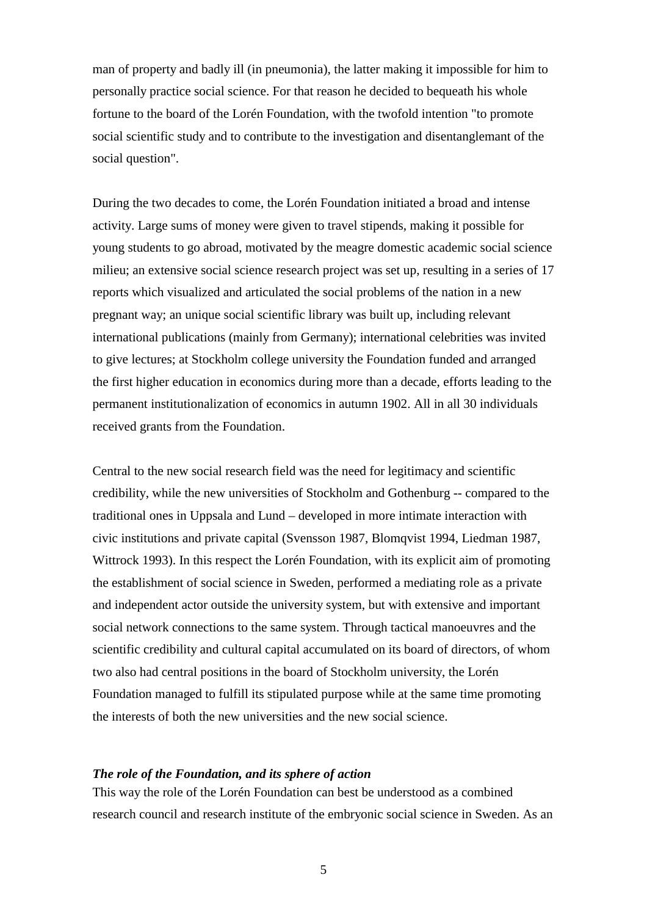man of property and badly ill (in pneumonia), the latter making it impossible for him to personally practice social science. For that reason he decided to bequeath his whole fortune to the board of the Lorén Foundation, with the twofold intention "to promote social scientific study and to contribute to the investigation and disentanglemant of the social question".

During the two decades to come, the Lorén Foundation initiated a broad and intense activity. Large sums of money were given to travel stipends, making it possible for young students to go abroad, motivated by the meagre domestic academic social science milieu; an extensive social science research project was set up, resulting in a series of 17 reports which visualized and articulated the social problems of the nation in a new pregnant way; an unique social scientific library was built up, including relevant international publications (mainly from Germany); international celebrities was invited to give lectures; at Stockholm college university the Foundation funded and arranged the first higher education in economics during more than a decade, efforts leading to the permanent institutionalization of economics in autumn 1902. All in all 30 individuals received grants from the Foundation.

Central to the new social research field was the need for legitimacy and scientific credibility, while the new universities of Stockholm and Gothenburg -- compared to the traditional ones in Uppsala and Lund – developed in more intimate interaction with civic institutions and private capital (Svensson 1987, Blomqvist 1994, Liedman 1987, Wittrock 1993). In this respect the Lorén Foundation, with its explicit aim of promoting the establishment of social science in Sweden, performed a mediating role as a private and independent actor outside the university system, but with extensive and important social network connections to the same system. Through tactical manoeuvres and the scientific credibility and cultural capital accumulated on its board of directors, of whom two also had central positions in the board of Stockholm university, the Lorén Foundation managed to fulfill its stipulated purpose while at the same time promoting the interests of both the new universities and the new social science.

# *The role of the Foundation, and its sphere of action*

This way the role of the Lorén Foundation can best be understood as a combined research council and research institute of the embryonic social science in Sweden. As an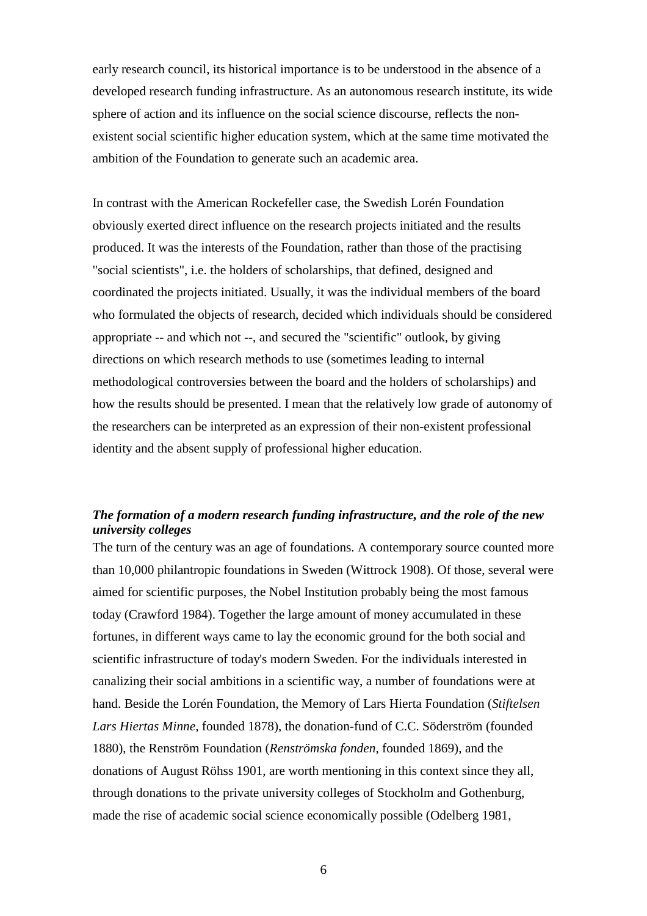early research council, its historical importance is to be understood in the absence of a developed research funding infrastructure. As an autonomous research institute, its wide sphere of action and its influence on the social science discourse, reflects the nonexistent social scientific higher education system, which at the same time motivated the ambition of the Foundation to generate such an academic area.

In contrast with the American Rockefeller case, the Swedish Lorén Foundation obviously exerted direct influence on the research projects initiated and the results produced. It was the interests of the Foundation, rather than those of the practising "social scientists", i.e. the holders of scholarships, that defined, designed and coordinated the projects initiated. Usually, it was the individual members of the board who formulated the objects of research, decided which individuals should be considered appropriate -- and which not --, and secured the "scientific" outlook, by giving directions on which research methods to use (sometimes leading to internal methodological controversies between the board and the holders of scholarships) and how the results should be presented. I mean that the relatively low grade of autonomy of the researchers can be interpreted as an expression of their non-existent professional identity and the absent supply of professional higher education.

# *The formation of a modern research funding infrastructure, and the role of the new university colleges*

The turn of the century was an age of foundations. A contemporary source counted more than 10,000 philantropic foundations in Sweden (Wittrock 1908). Of those, several were aimed for scientific purposes, the Nobel Institution probably being the most famous today (Crawford 1984). Together the large amount of money accumulated in these fortunes, in different ways came to lay the economic ground for the both social and scientific infrastructure of today's modern Sweden. For the individuals interested in canalizing their social ambitions in a scientific way, a number of foundations were at hand. Beside the Lorén Foundation, the Memory of Lars Hierta Foundation (*Stiftelsen Lars Hiertas Minne*, founded 1878), the donation-fund of C.C. Söderström (founded 1880), the Renström Foundation (*Renströmska fonden*, founded 1869), and the donations of August Röhss 1901, are worth mentioning in this context since they all, through donations to the private university colleges of Stockholm and Gothenburg, made the rise of academic social science economically possible (Odelberg 1981,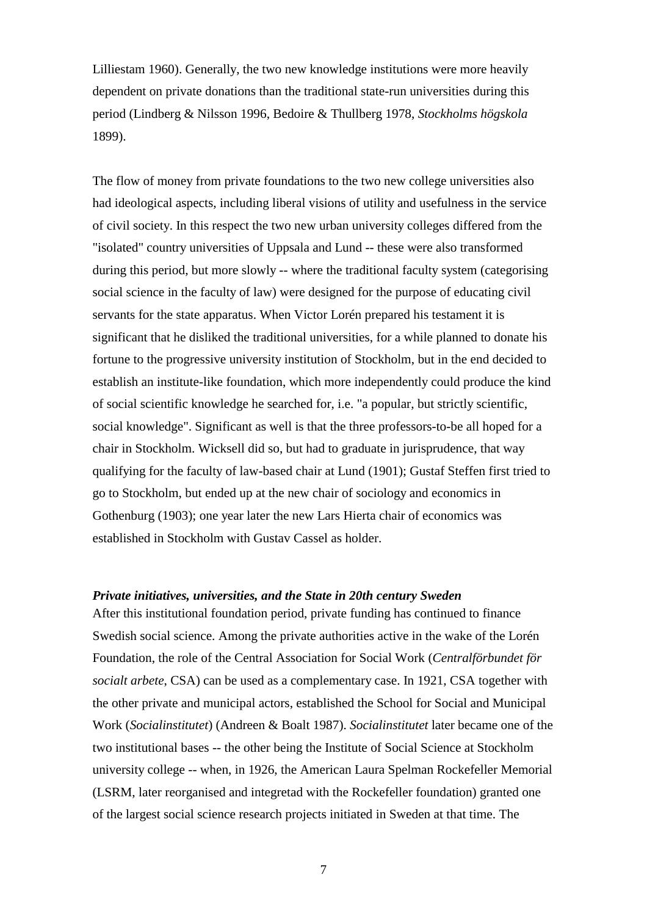Lilliestam 1960). Generally, the two new knowledge institutions were more heavily dependent on private donations than the traditional state-run universities during this period (Lindberg & Nilsson 1996, Bedoire & Thullberg 1978, *Stockholms högskola* 1899).

The flow of money from private foundations to the two new college universities also had ideological aspects, including liberal visions of utility and usefulness in the service of civil society. In this respect the two new urban university colleges differed from the "isolated" country universities of Uppsala and Lund -- these were also transformed during this period, but more slowly -- where the traditional faculty system (categorising social science in the faculty of law) were designed for the purpose of educating civil servants for the state apparatus. When Victor Lorén prepared his testament it is significant that he disliked the traditional universities, for a while planned to donate his fortune to the progressive university institution of Stockholm, but in the end decided to establish an institute-like foundation, which more independently could produce the kind of social scientific knowledge he searched for, i.e. "a popular, but strictly scientific, social knowledge". Significant as well is that the three professors-to-be all hoped for a chair in Stockholm. Wicksell did so, but had to graduate in jurisprudence, that way qualifying for the faculty of law-based chair at Lund (1901); Gustaf Steffen first tried to go to Stockholm, but ended up at the new chair of sociology and economics in Gothenburg (1903); one year later the new Lars Hierta chair of economics was established in Stockholm with Gustav Cassel as holder.

#### *Private initiatives, universities, and the State in 20th century Sweden*

After this institutional foundation period, private funding has continued to finance Swedish social science. Among the private authorities active in the wake of the Lorén Foundation, the role of the Central Association for Social Work (*Centralförbundet för socialt arbete*, CSA) can be used as a complementary case. In 1921, CSA together with the other private and municipal actors, established the School for Social and Municipal Work (*Socialinstitutet*) (Andreen & Boalt 1987). *Socialinstitutet* later became one of the two institutional bases -- the other being the Institute of Social Science at Stockholm university college -- when, in 1926, the American Laura Spelman Rockefeller Memorial (LSRM, later reorganised and integretad with the Rockefeller foundation) granted one of the largest social science research projects initiated in Sweden at that time. The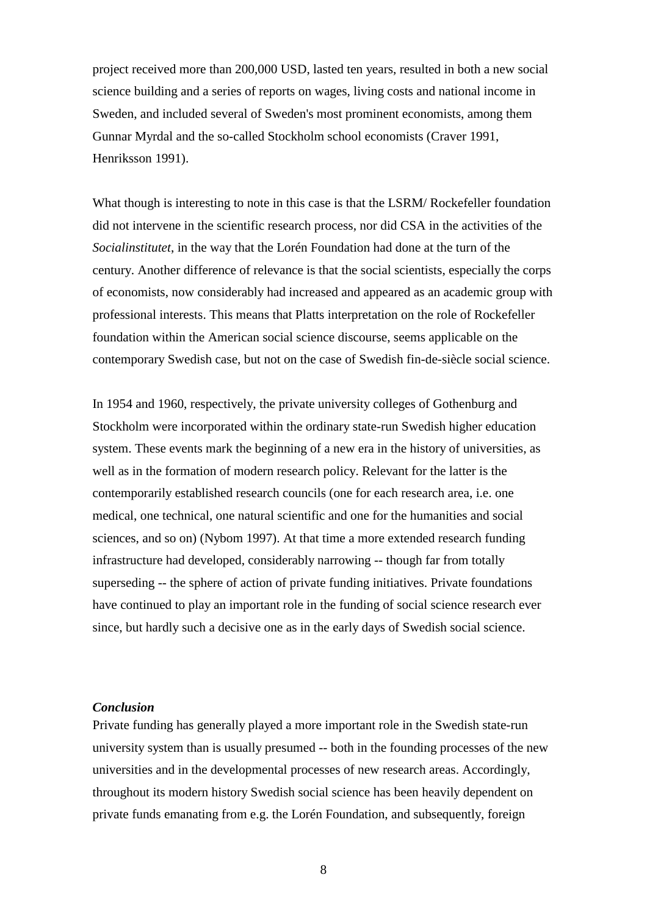project received more than 200,000 USD, lasted ten years, resulted in both a new social science building and a series of reports on wages, living costs and national income in Sweden, and included several of Sweden's most prominent economists, among them Gunnar Myrdal and the so-called Stockholm school economists (Craver 1991, Henriksson 1991).

What though is interesting to note in this case is that the LSRM/ Rockefeller foundation did not intervene in the scientific research process, nor did CSA in the activities of the *Socialinstitutet*, in the way that the Lorén Foundation had done at the turn of the century. Another difference of relevance is that the social scientists, especially the corps of economists, now considerably had increased and appeared as an academic group with professional interests. This means that Platts interpretation on the role of Rockefeller foundation within the American social science discourse, seems applicable on the contemporary Swedish case, but not on the case of Swedish fin-de-siècle social science.

In 1954 and 1960, respectively, the private university colleges of Gothenburg and Stockholm were incorporated within the ordinary state-run Swedish higher education system. These events mark the beginning of a new era in the history of universities, as well as in the formation of modern research policy. Relevant for the latter is the contemporarily established research councils (one for each research area, i.e. one medical, one technical, one natural scientific and one for the humanities and social sciences, and so on) (Nybom 1997). At that time a more extended research funding infrastructure had developed, considerably narrowing -- though far from totally superseding -- the sphere of action of private funding initiatives. Private foundations have continued to play an important role in the funding of social science research ever since, but hardly such a decisive one as in the early days of Swedish social science.

#### *Conclusion*

Private funding has generally played a more important role in the Swedish state-run university system than is usually presumed -- both in the founding processes of the new universities and in the developmental processes of new research areas. Accordingly, throughout its modern history Swedish social science has been heavily dependent on private funds emanating from e.g. the Lorén Foundation, and subsequently, foreign

8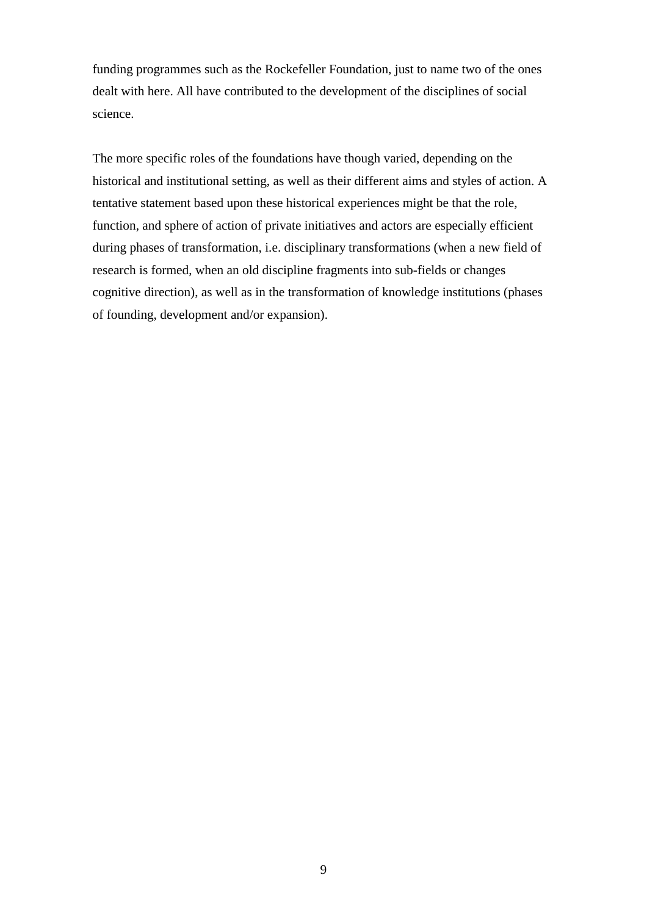funding programmes such as the Rockefeller Foundation, just to name two of the ones dealt with here. All have contributed to the development of the disciplines of social science.

The more specific roles of the foundations have though varied, depending on the historical and institutional setting, as well as their different aims and styles of action. A tentative statement based upon these historical experiences might be that the role, function, and sphere of action of private initiatives and actors are especially efficient during phases of transformation, i.e. disciplinary transformations (when a new field of research is formed, when an old discipline fragments into sub-fields or changes cognitive direction), as well as in the transformation of knowledge institutions (phases of founding, development and/or expansion).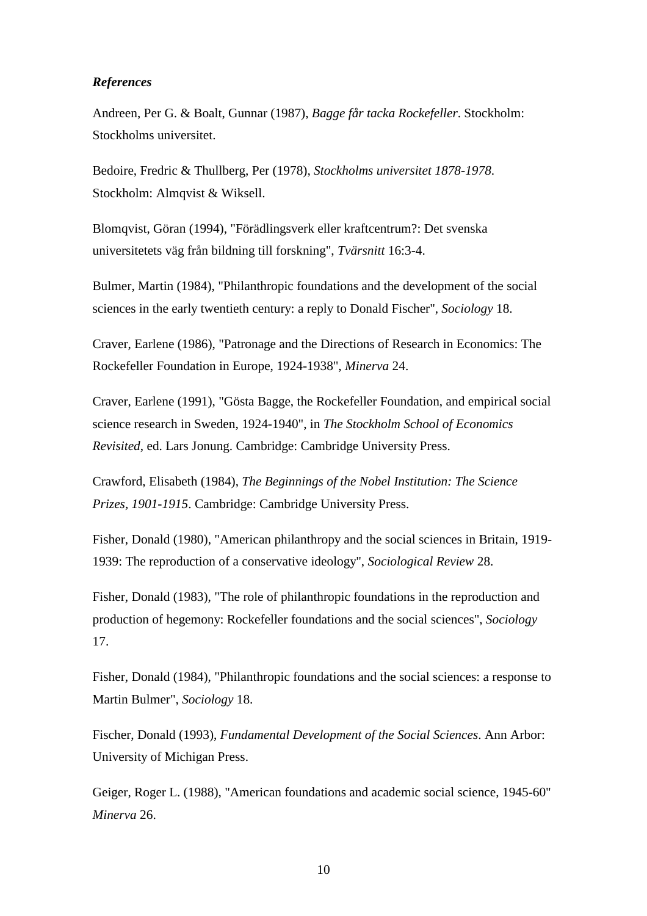# *References*

Andreen, Per G. & Boalt, Gunnar (1987), *Bagge får tacka Rockefeller*. Stockholm: Stockholms universitet.

Bedoire, Fredric & Thullberg, Per (1978), *Stockholms universitet 1878-1978*. Stockholm: Almqvist & Wiksell.

Blomqvist, Göran (1994), "Förädlingsverk eller kraftcentrum?: Det svenska universitetets väg från bildning till forskning", *Tvärsnitt* 16:3-4.

Bulmer, Martin (1984), "Philanthropic foundations and the development of the social sciences in the early twentieth century: a reply to Donald Fischer", *Sociology* 18.

Craver, Earlene (1986), "Patronage and the Directions of Research in Economics: The Rockefeller Foundation in Europe, 1924-1938", *Minerva* 24.

Craver, Earlene (1991), "Gösta Bagge, the Rockefeller Foundation, and empirical social science research in Sweden, 1924-1940", in *The Stockholm School of Economics Revisited*, ed. Lars Jonung. Cambridge: Cambridge University Press.

Crawford, Elisabeth (1984), *The Beginnings of the Nobel Institution: The Science Prizes, 1901-1915*. Cambridge: Cambridge University Press.

Fisher, Donald (1980), "American philanthropy and the social sciences in Britain, 1919- 1939: The reproduction of a conservative ideology", *Sociological Review* 28.

Fisher, Donald (1983), "The role of philanthropic foundations in the reproduction and production of hegemony: Rockefeller foundations and the social sciences", *Sociology* 17.

Fisher, Donald (1984), "Philanthropic foundations and the social sciences: a response to Martin Bulmer", *Sociology* 18.

Fischer, Donald (1993), *Fundamental Development of the Social Sciences*. Ann Arbor: University of Michigan Press.

Geiger, Roger L. (1988), "American foundations and academic social science, 1945-60" *Minerva* 26.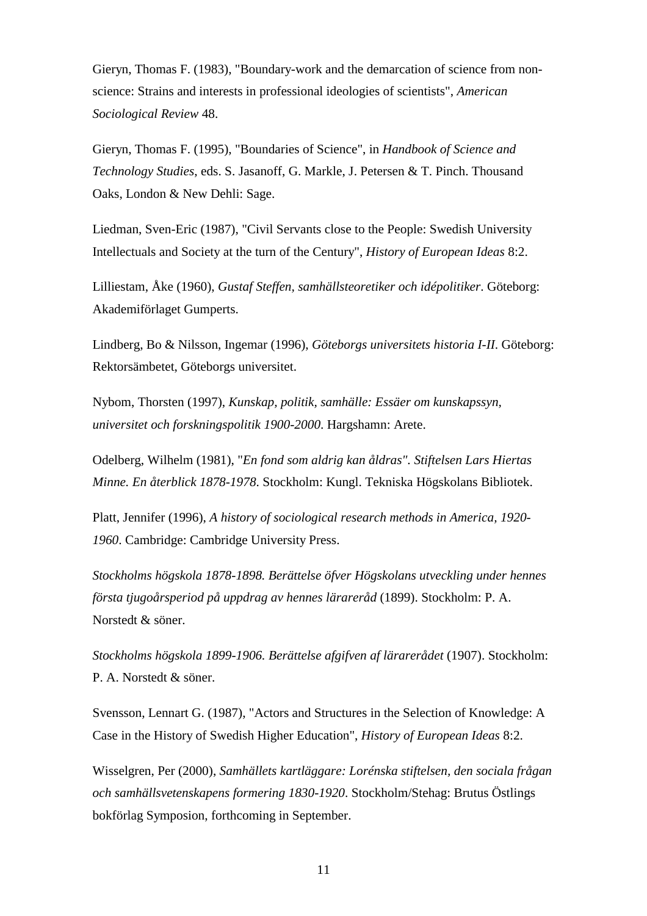Gieryn, Thomas F. (1983), "Boundary-work and the demarcation of science from nonscience: Strains and interests in professional ideologies of scientists", *American Sociological Review* 48.

Gieryn, Thomas F. (1995), "Boundaries of Science", in *Handbook of Science and Technology Studies*, eds. S. Jasanoff, G. Markle, J. Petersen & T. Pinch. Thousand Oaks, London & New Dehli: Sage.

Liedman, Sven-Eric (1987), "Civil Servants close to the People: Swedish University Intellectuals and Society at the turn of the Century", *History of European Ideas* 8:2.

Lilliestam, Åke (1960), *Gustaf Steffen, samhällsteoretiker och idépolitiker*. Göteborg: Akademiförlaget Gumperts.

Lindberg, Bo & Nilsson, Ingemar (1996), *Göteborgs universitets historia I-II*. Göteborg: Rektorsämbetet, Göteborgs universitet.

Nybom, Thorsten (1997), *Kunskap, politik, samhälle: Essäer om kunskapssyn, universitet och forskningspolitik 1900-2000*. Hargshamn: Arete.

Odelberg, Wilhelm (1981), "*En fond som aldrig kan åldras". Stiftelsen Lars Hiertas Minne. En återblick 1878-1978*. Stockholm: Kungl. Tekniska Högskolans Bibliotek.

Platt, Jennifer (1996), *A history of sociological research methods in America, 1920- 1960*. Cambridge: Cambridge University Press.

*Stockholms högskola 1878-1898. Berättelse öfver Högskolans utveckling under hennes första tjugoårsperiod på uppdrag av hennes lärareråd* (1899). Stockholm: P. A. Norstedt & söner.

*Stockholms högskola 1899-1906. Berättelse afgifven af lärarerådet* (1907). Stockholm: P. A. Norstedt & söner.

Svensson, Lennart G. (1987), "Actors and Structures in the Selection of Knowledge: A Case in the History of Swedish Higher Education", *History of European Ideas* 8:2.

Wisselgren, Per (2000), *Samhällets kartläggare: Lorénska stiftelsen, den sociala frågan och samhällsvetenskapens formering 1830-1920*. Stockholm/Stehag: Brutus Östlings bokförlag Symposion, forthcoming in September.